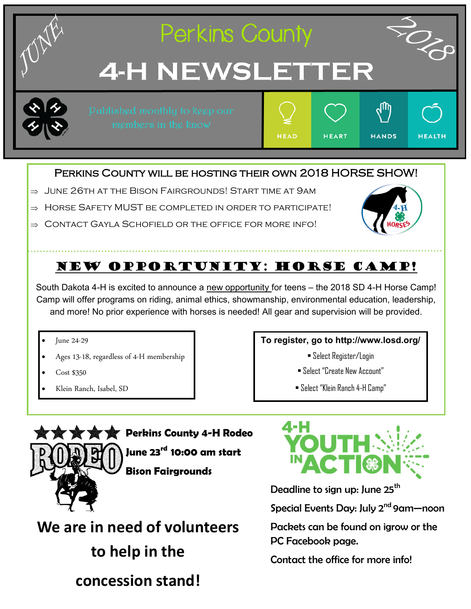

#### PERKINS COUNTY WILL BE HOSTING THEIR OWN 2018 HORSE SHOW!

- $\Rightarrow$  June 26th at the Bison Fairgrounds! Start time at 9am
- $\Rightarrow$  HORSE SAFETY MUST BE COMPLETED IN ORDER TO PARTICIPATE!
- $\Rightarrow$  CONTACT GAYLA SCHOFIELD OR THE OFFICE FOR MORE INFO!



## NEW OPPORTUNITY: Horse camp!

South Dakota 4-H is excited to announce a new opportunity for teens – the 2018 SD 4-H Horse Camp! Camp will offer programs on riding, animal ethics, showmanship, environmental education, leadership, and more! No prior experience with horses is needed! All gear and supervision will be provided.

- June 24-29
- Ages 13-18, regardless of 4-H membership
- Cost \$350
- Klein Ranch, Isabel, SD

#### **To register, go to http://www.losd.org/**

- Select Register/Login
- Select "Create New Account"
- Select "Klein Ranch 4-H Camp"

**Perkins County 4-H Rodeo June 23rd 10:00 am start Bison Fairgrounds**

**We are in need of volunteers to help in the concession stand!** 



Deadline to sign up: June 25<sup>th</sup>

Special Events Day: July 2<sup>nd</sup> 9am-noon

Packets can be found on igrow or the PC Facebook page.

Contact the office for more info!